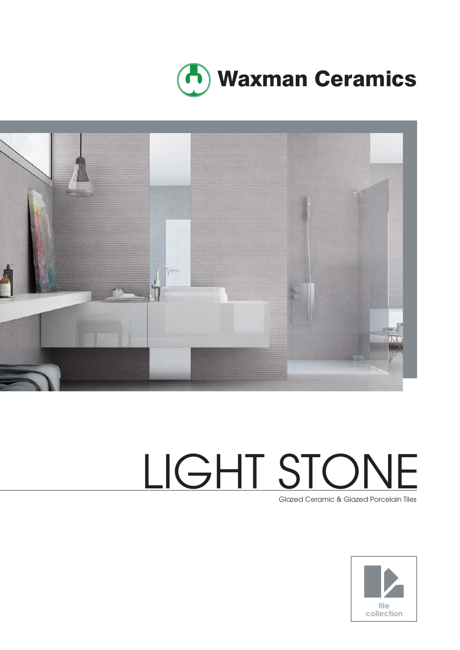



# LIGHT STONE

Glazed Ceramic & Glazed Porcelain Tiles

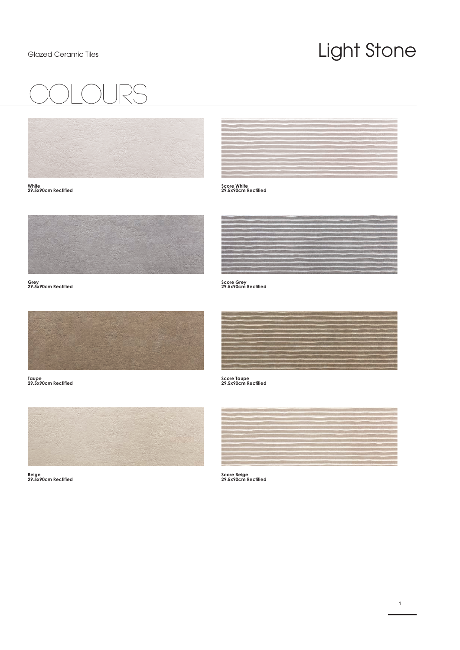### Light Stone

## COlours



**White 29.5x90cm Rectified**





**Grey 29.5x90cm Rectified**



**Taupe 29.5x90cm Rectified**



**Beige 29.5x90cm Rectified**



**Score Grey 29.5x90cm Rectified**



**Score Taupe 29.5x90cm Rectified**



**Score Beige 29.5x90cm Rectified**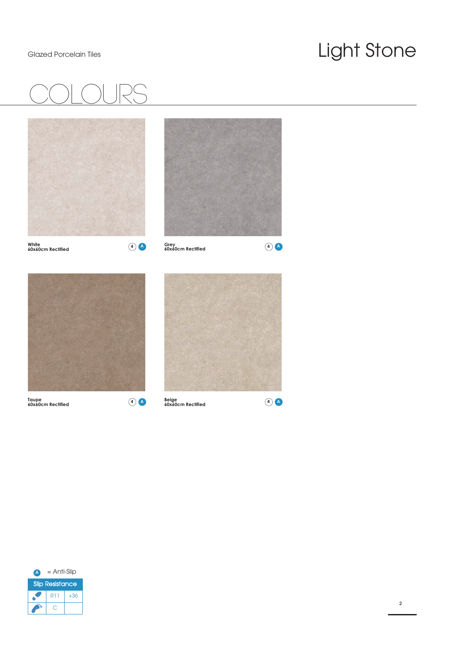### Light Stone





**Taupe 60x60cm Rectified**

**Beige 60x60cm Rectified 4 A 4 A**

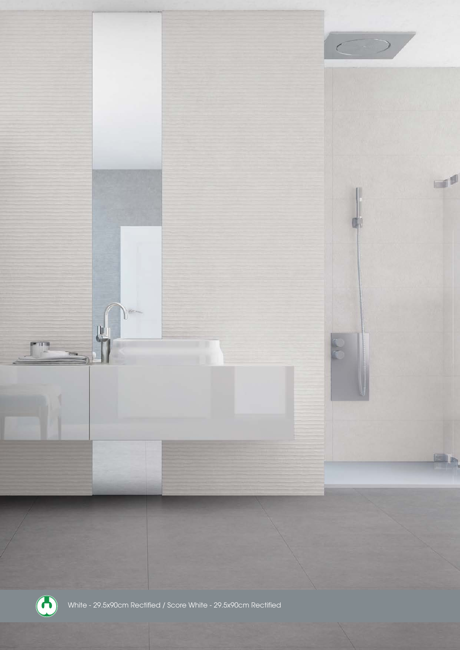

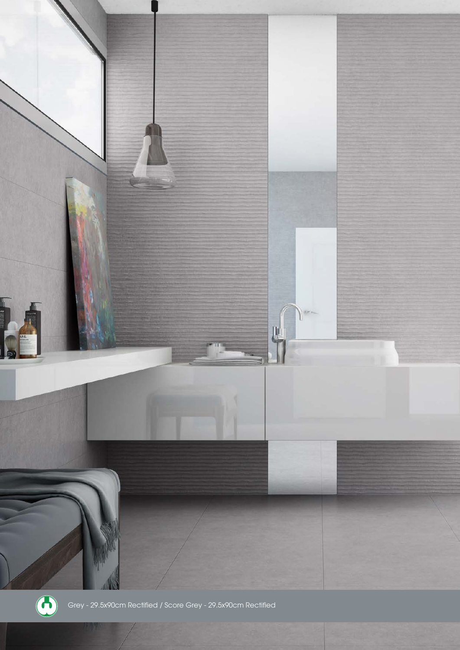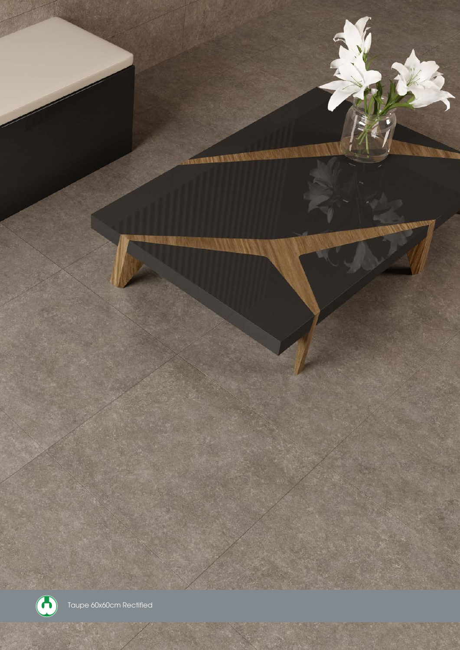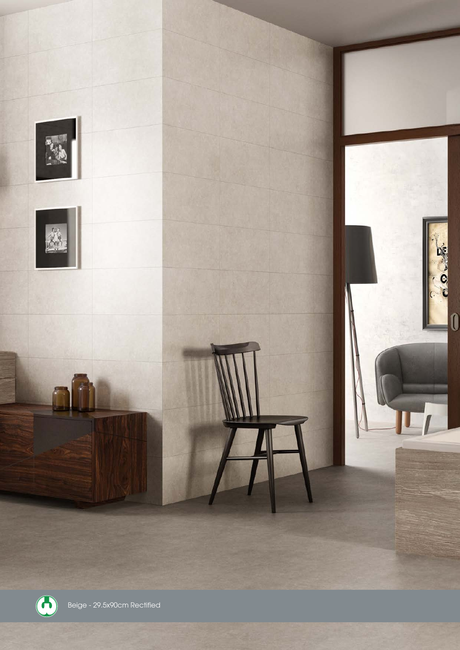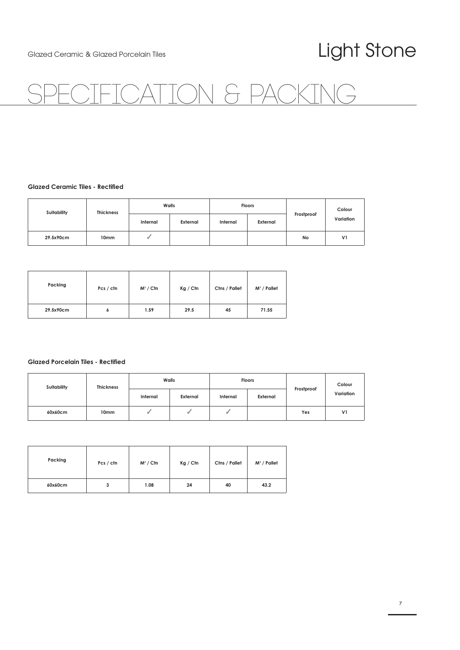#### Light Stone

### TON & PA

#### **Glazed Ceramic Tiles - Rectified**

| Suitability | <b>Thickness</b> | Walls    |          | <b>Floors</b> |          |            | Colour         |
|-------------|------------------|----------|----------|---------------|----------|------------|----------------|
|             |                  | Internal | External | Internal      | External | Frostproof | Variation      |
| 29.5x90cm   | 10mm             |          |          |               |          | No         | V <sub>1</sub> |

| Packing   | Pcs / ctn | $M^2 /$ Ctn | Kg / Ctn | Ctns / Pallet | $M^2$ / Pallet |
|-----------|-----------|-------------|----------|---------------|----------------|
| 29.5x90cm | ٥         | 1.59        | 29.5     | 45            | 71.55          |

#### **Glazed Porcelain Tiles - Rectified**

| <b>Suitability</b> | <b>Thickness</b> | Walls    |          | <b>Floors</b> |          |            | Colour         |
|--------------------|------------------|----------|----------|---------------|----------|------------|----------------|
|                    |                  | Internal | External | Internal      | External | Frostproof | Variation      |
| 60x60cm            | 10mm             |          |          |               |          | Yes        | V <sub>1</sub> |

| Packing | Pcs / ctn | $M^2 /$ Ctn | Kg / Ctn | Ctns / Pallet | $M^2$ / Pallet |
|---------|-----------|-------------|----------|---------------|----------------|
| 60x60cm | з         | 1.08        | 24       | 40            | 43.2           |